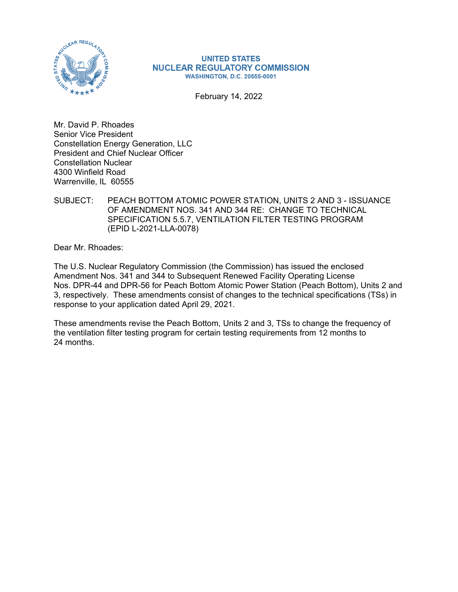

### **UNITED STATES NUCLEAR REGULATORY COMMISSION WASHINGTON, D.C. 20555-0001**

February 14, 2022

Mr. David P. Rhoades Senior Vice President Constellation Energy Generation, LLC President and Chief Nuclear Officer Constellation Nuclear 4300 Winfield Road Warrenville, IL 60555

SUBJECT: PEACH BOTTOM ATOMIC POWER STATION, UNITS 2 AND 3 - ISSUANCE OF AMENDMENT NOS. 341 AND 344 RE: CHANGE TO TECHNICAL SPECIFICATION 5.5.7, VENTILATION FILTER TESTING PROGRAM (EPID L-2021-LLA-0078)

Dear Mr. Rhoades:

The U.S. Nuclear Regulatory Commission (the Commission) has issued the enclosed Amendment Nos. 341 and 344 to Subsequent Renewed Facility Operating License Nos. DPR-44 and DPR-56 for Peach Bottom Atomic Power Station (Peach Bottom), Units 2 and 3, respectively. These amendments consist of changes to the technical specifications (TSs) in response to your application dated April 29, 2021.

These amendments revise the Peach Bottom, Units 2 and 3, TSs to change the frequency of the ventilation filter testing program for certain testing requirements from 12 months to 24 months.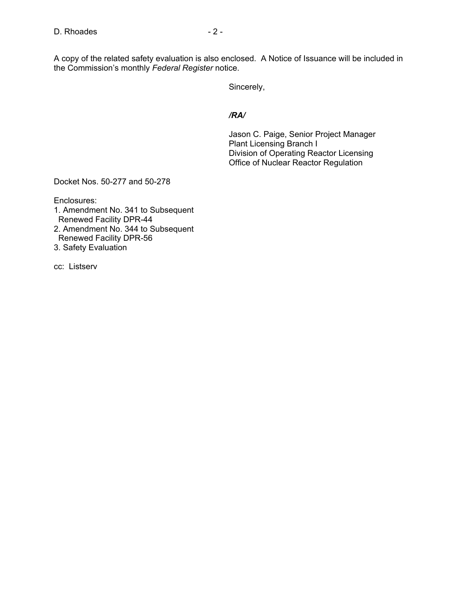A copy of the related safety evaluation is also enclosed. A Notice of Issuance will be included in the Commission's monthly *Federal Register* notice.

Sincerely,

### */RA/*

Jason C. Paige, Senior Project Manager Plant Licensing Branch I Division of Operating Reactor Licensing Office of Nuclear Reactor Regulation

Docket Nos. 50-277 and 50-278

Enclosures:

- 1. Amendment No. 341 to Subsequent Renewed Facility DPR-44
- 2. Amendment No. 344 to Subsequent Renewed Facility DPR-56
- 3. Safety Evaluation

cc: Listserv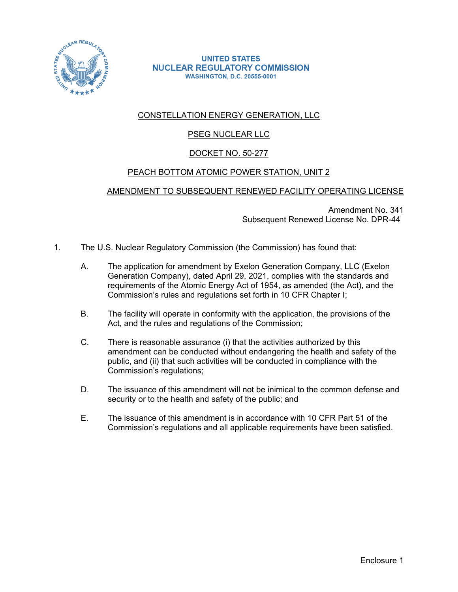

### **UNITED STATES NUCLEAR REGULATORY COMMISSION WASHINGTON, D.C. 20555-0001**

# CONSTELLATION ENERGY GENERATION, LLC

# **PSEG NUCLEAR LLC**

# DOCKET NO. 50-277

## PEACH BOTTOM ATOMIC POWER STATION, UNIT 2

## AMENDMENT TO SUBSEQUENT RENEWED FACILITY OPERATING LICENSE

Amendment No. 341 Subsequent Renewed License No. DPR-44

- 1. The U.S. Nuclear Regulatory Commission (the Commission) has found that:
	- A. The application for amendment by Exelon Generation Company, LLC (Exelon Generation Company), dated April 29, 2021, complies with the standards and requirements of the Atomic Energy Act of 1954, as amended (the Act), and the Commission's rules and regulations set forth in 10 CFR Chapter I;
	- B. The facility will operate in conformity with the application, the provisions of the Act, and the rules and regulations of the Commission;
	- C. There is reasonable assurance (i) that the activities authorized by this amendment can be conducted without endangering the health and safety of the public, and (ii) that such activities will be conducted in compliance with the Commission's regulations;
	- D. The issuance of this amendment will not be inimical to the common defense and security or to the health and safety of the public; and
	- E. The issuance of this amendment is in accordance with 10 CFR Part 51 of the Commission's regulations and all applicable requirements have been satisfied.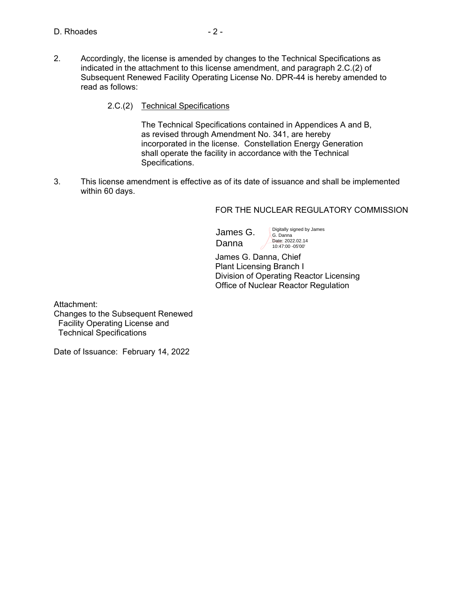- 2. Accordingly, the license is amended by changes to the Technical Specifications as indicated in the attachment to this license amendment, and paragraph 2.C.(2) of Subsequent Renewed Facility Operating License No. DPR-44 is hereby amended to read as follows:
	- 2.C.(2) Technical Specifications

 The Technical Specifications contained in Appendices A and B, as revised through Amendment No. 341, are hereby incorporated in the license. Constellation Energy Generation shall operate the facility in accordance with the Technical Specifications.

3. This license amendment is effective as of its date of issuance and shall be implemented within 60 days.

### FOR THE NUCLEAR REGULATORY COMMISSION

James G. Danna

Digitally signed by James G. Danna Date: 2022.02.14 10:47:00 -05'00'

James G. Danna, Chief Plant Licensing Branch I Division of Operating Reactor Licensing Office of Nuclear Reactor Regulation

Attachment: Changes to the Subsequent Renewed Facility Operating License and Technical Specifications

Date of Issuance: February 14, 2022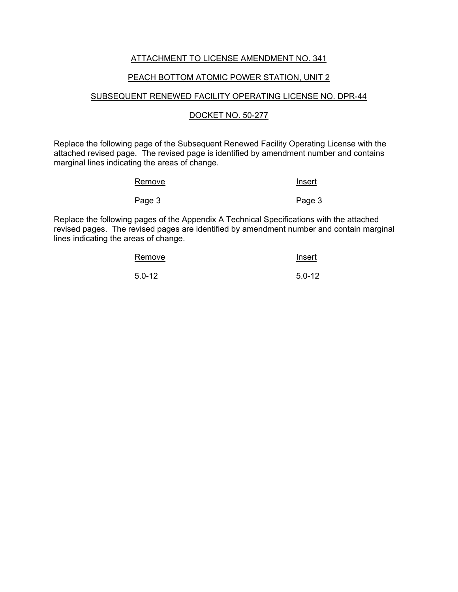## ATTACHMENT TO LICENSE AMENDMENT NO. 341

### PEACH BOTTOM ATOMIC POWER STATION, UNIT 2

### SUBSEQUENT RENEWED FACILITY OPERATING LICENSE NO. DPR-44

### DOCKET NO. 50-277

Replace the following page of the Subsequent Renewed Facility Operating License with the attached revised page. The revised page is identified by amendment number and contains marginal lines indicating the areas of change.

| Remove | Insert |
|--------|--------|
| Page 3 | Page 3 |

Replace the following pages of the Appendix A Technical Specifications with the attached revised pages. The revised pages are identified by amendment number and contain marginal lines indicating the areas of change.

| Remove     | Insert     |
|------------|------------|
| $5.0 - 12$ | $5.0 - 12$ |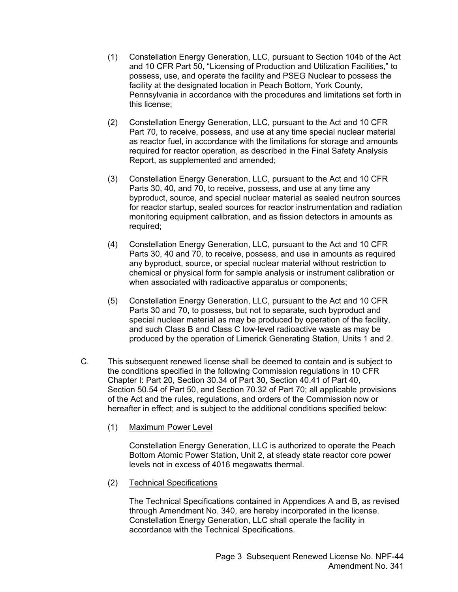- (1) Constellation Energy Generation, LLC, pursuant to Section 104b of the Act and 10 CFR Part 50, "Licensing of Production and Utilization Facilities," to possess, use, and operate the facility and PSEG Nuclear to possess the facility at the designated location in Peach Bottom, York County, Pennsylvania in accordance with the procedures and limitations set forth in this license;
- (2) Constellation Energy Generation, LLC, pursuant to the Act and 10 CFR Part 70, to receive, possess, and use at any time special nuclear material as reactor fuel, in accordance with the limitations for storage and amounts required for reactor operation, as described in the Final Safety Analysis Report, as supplemented and amended;
- (3) Constellation Energy Generation, LLC, pursuant to the Act and 10 CFR Parts 30, 40, and 70, to receive, possess, and use at any time any byproduct, source, and special nuclear material as sealed neutron sources for reactor startup, sealed sources for reactor instrumentation and radiation monitoring equipment calibration, and as fission detectors in amounts as required;
- (4) Constellation Energy Generation, LLC, pursuant to the Act and 10 CFR Parts 30, 40 and 70, to receive, possess, and use in amounts as required any byproduct, source, or special nuclear material without restriction to chemical or physical form for sample analysis or instrument calibration or when associated with radioactive apparatus or components;
- (5) Constellation Energy Generation, LLC, pursuant to the Act and 10 CFR Parts 30 and 70, to possess, but not to separate, such byproduct and special nuclear material as may be produced by operation of the facility, and such Class B and Class C low-level radioactive waste as may be produced by the operation of Limerick Generating Station, Units 1 and 2.
- C. This subsequent renewed license shall be deemed to contain and is subject to the conditions specified in the following Commission regulations in 10 CFR Chapter I: Part 20, Section 30.34 of Part 30, Section 40.41 of Part 40, Section 50.54 of Part 50, and Section 70.32 of Part 70; all applicable provisions of the Act and the rules, regulations, and orders of the Commission now or hereafter in effect; and is subject to the additional conditions specified below:
	- (1) Maximum Power Level

 Constellation Energy Generation, LLC is authorized to operate the Peach Bottom Atomic Power Station, Unit 2, at steady state reactor core power levels not in excess of 4016 megawatts thermal.

(2) Technical Specifications

 The Technical Specifications contained in Appendices A and B, as revised through Amendment No. 340, are hereby incorporated in the license. Constellation Energy Generation, LLC shall operate the facility in accordance with the Technical Specifications.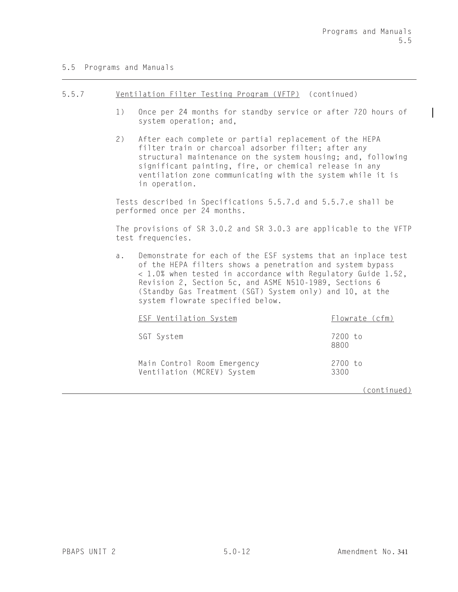### 5.5 Programs and Manuals

#### 5.5.7 Ventilation Filter Testing Program (VFTP) (continued)

- 1) Once per 24 months for standby service or after 720 hours of system operation; and,
- 2) After each complete or partial replacement of the HEPA filter train or charcoal adsorber filter; after any structural maintenance on the system housing; and, following significant painting, fire, or chemical release in any ventilation zone communicating with the system while it is in operation.

Tests described in Specifications 5.5.7.d and 5.5.7.e shall be performed once per 24 months.

The provisions of SR 3.0.2 and SR 3.0.3 are applicable to the VFTP test frequencies.

a. Demonstrate for each of the ESF systems that an inplace test of the HEPA filters shows a penetration and system bypass 1.0% when tested in accordance with Regulatory Guide 1.52, Revision 2, Section 5c, and ASME N510-1989, Sections 6 (Standby Gas Treatment (SGT) System only) and 10, at the system flowrate specified below.

| <b>ESF Ventilation System</b>                             | Flowrate (cfm)  |
|-----------------------------------------------------------|-----------------|
| SGT System                                                | 7200 to<br>8800 |
| Main Control Room Emergency<br>Ventilation (MCREV) System | 2700 to<br>3300 |

(continued)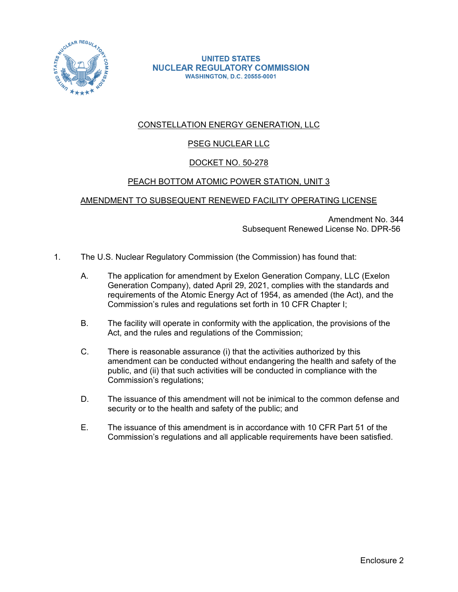

**UNITED STATES NUCLEAR REGULATORY COMMISSION WASHINGTON, D.C. 20555-0001** 

# CONSTELLATION ENERGY GENERATION, LLC

# PSEG NUCLEAR LLC

# DOCKET NO. 50-278

## PEACH BOTTOM ATOMIC POWER STATION, UNIT 3

## AMENDMENT TO SUBSEQUENT RENEWED FACILITY OPERATING LICENSE

Amendment No. 344 Subsequent Renewed License No. DPR-56

- 1. The U.S. Nuclear Regulatory Commission (the Commission) has found that:
	- A. The application for amendment by Exelon Generation Company, LLC (Exelon Generation Company), dated April 29, 2021, complies with the standards and requirements of the Atomic Energy Act of 1954, as amended (the Act), and the Commission's rules and regulations set forth in 10 CFR Chapter I;
	- B. The facility will operate in conformity with the application, the provisions of the Act, and the rules and regulations of the Commission;
	- C. There is reasonable assurance (i) that the activities authorized by this amendment can be conducted without endangering the health and safety of the public, and (ii) that such activities will be conducted in compliance with the Commission's regulations;
	- D. The issuance of this amendment will not be inimical to the common defense and security or to the health and safety of the public; and
	- E. The issuance of this amendment is in accordance with 10 CFR Part 51 of the Commission's regulations and all applicable requirements have been satisfied.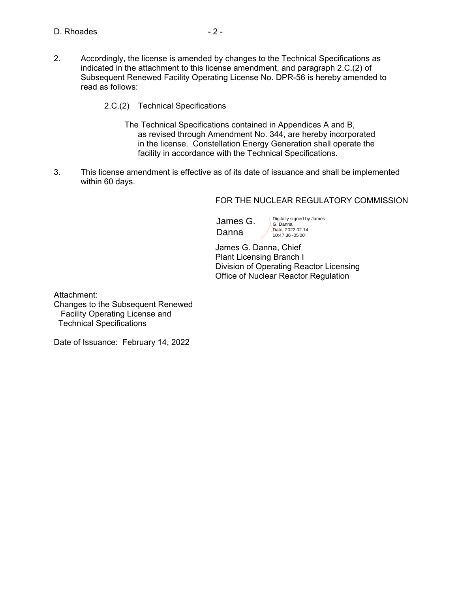- 2. Accordingly, the license is amended by changes to the Technical Specifications as indicated in the attachment to this license amendment, and paragraph 2.C.(2) of Subsequent Renewed Facility Operating License No. DPR-56 is hereby amended to read as follows:
	- 2.C.(2) Technical Specifications
		- The Technical Specifications contained in Appendices A and B, as revised through Amendment No. 344, are hereby incorporated in the license. Constellation Energy Generation shall operate the facility in accordance with the Technical Specifications.
- 3. This license amendment is effective as of its date of issuance and shall be implemented within 60 days.

FOR THE NUCLEAR REGULATORY COMMISSION

James G. Danna

Digitally signed by James G. Danna Date: 2022.02.14 10:47:36 -05'00'

James G. Danna, Chief Plant Licensing Branch I Division of Operating Reactor Licensing Office of Nuclear Reactor Regulation

Attachment:

Changes to the Subsequent Renewed Facility Operating License and Technical Specifications

Date of Issuance: February 14, 2022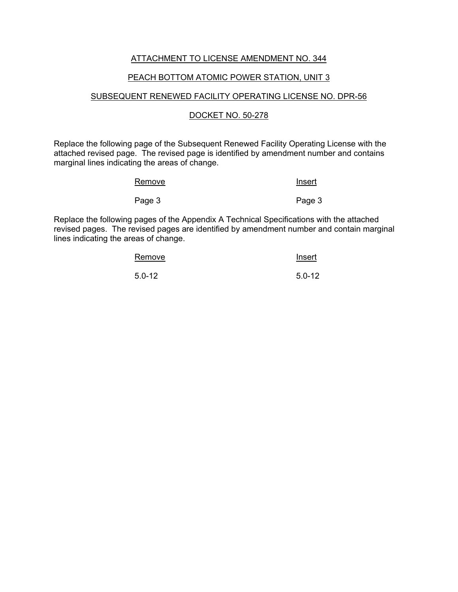## ATTACHMENT TO LICENSE AMENDMENT NO. 344

### PEACH BOTTOM ATOMIC POWER STATION, UNIT 3

### SUBSEQUENT RENEWED FACILITY OPERATING LICENSE NO. DPR-56

### DOCKET NO. 50-278

Replace the following page of the Subsequent Renewed Facility Operating License with the attached revised page. The revised page is identified by amendment number and contains marginal lines indicating the areas of change.

| Remove | <u>Insert</u> |
|--------|---------------|
| Page 3 | Page 3        |

Replace the following pages of the Appendix A Technical Specifications with the attached revised pages. The revised pages are identified by amendment number and contain marginal lines indicating the areas of change.

| Remove     | Insert     |
|------------|------------|
| $5.0 - 12$ | $5.0 - 12$ |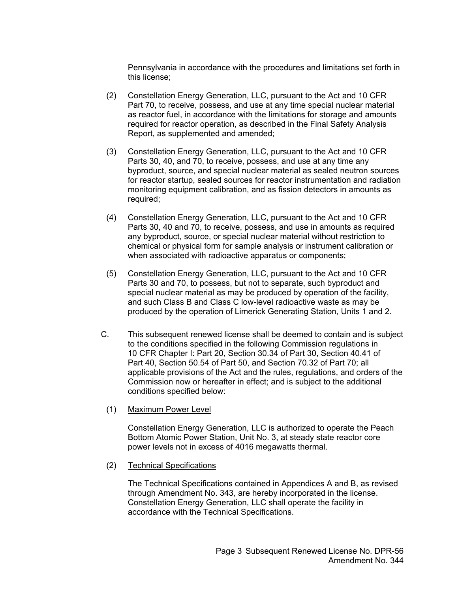Pennsylvania in accordance with the procedures and limitations set forth in this license;

- (2) Constellation Energy Generation, LLC, pursuant to the Act and 10 CFR Part 70, to receive, possess, and use at any time special nuclear material as reactor fuel, in accordance with the limitations for storage and amounts required for reactor operation, as described in the Final Safety Analysis Report, as supplemented and amended;
- (3) Constellation Energy Generation, LLC, pursuant to the Act and 10 CFR Parts 30, 40, and 70, to receive, possess, and use at any time any byproduct, source, and special nuclear material as sealed neutron sources for reactor startup, sealed sources for reactor instrumentation and radiation monitoring equipment calibration, and as fission detectors in amounts as required;
- (4) Constellation Energy Generation, LLC, pursuant to the Act and 10 CFR Parts 30, 40 and 70, to receive, possess, and use in amounts as required any byproduct, source, or special nuclear material without restriction to chemical or physical form for sample analysis or instrument calibration or when associated with radioactive apparatus or components;
- (5) Constellation Energy Generation, LLC, pursuant to the Act and 10 CFR Parts 30 and 70, to possess, but not to separate, such byproduct and special nuclear material as may be produced by operation of the facility, and such Class B and Class C low-level radioactive waste as may be produced by the operation of Limerick Generating Station, Units 1 and 2.
- C. This subsequent renewed license shall be deemed to contain and is subject to the conditions specified in the following Commission regulations in 10 CFR Chapter I: Part 20, Section 30.34 of Part 30, Section 40.41 of Part 40, Section 50.54 of Part 50, and Section 70.32 of Part 70; all applicable provisions of the Act and the rules, regulations, and orders of the Commission now or hereafter in effect; and is subject to the additional conditions specified below:
	- (1) Maximum Power Level

 Constellation Energy Generation, LLC is authorized to operate the Peach Bottom Atomic Power Station, Unit No. 3, at steady state reactor core power levels not in excess of 4016 megawatts thermal.

(2) Technical Specifications

 The Technical Specifications contained in Appendices A and B, as revised through Amendment No. 343, are hereby incorporated in the license. Constellation Energy Generation, LLC shall operate the facility in accordance with the Technical Specifications.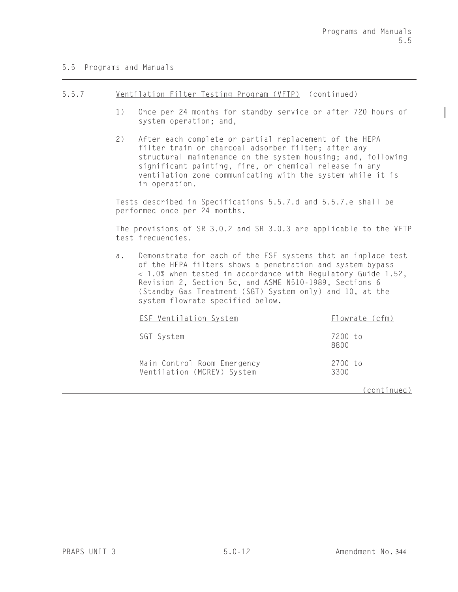### 5.5 Programs and Manuals

#### 5.5.7 Ventilation Filter Testing Program (VFTP) (continued)

- 1) Once per 24 months for standby service or after 720 hours of system operation; and,
- 2) After each complete or partial replacement of the HEPA filter train or charcoal adsorber filter; after any structural maintenance on the system housing; and, following significant painting, fire, or chemical release in any ventilation zone communicating with the system while it is in operation.

Tests described in Specifications 5.5.7.d and 5.5.7.e shall be performed once per 24 months.

The provisions of SR 3.0.2 and SR 3.0.3 are applicable to the VFTP test frequencies.

a. Demonstrate for each of the ESF systems that an inplace test of the HEPA filters shows a penetration and system bypass 1.0% when tested in accordance with Regulatory Guide 1.52, Revision 2, Section 5c, and ASME N510-1989, Sections 6 (Standby Gas Treatment (SGT) System only) and 10, at the system flowrate specified below.

| <b>ESF Ventilation System</b>                             | Flowrate (cfm)  |
|-----------------------------------------------------------|-----------------|
| SGT System                                                | 7200 to<br>8800 |
| Main Control Room Emergency<br>Ventilation (MCREV) System | 2700 to<br>3300 |

(continued)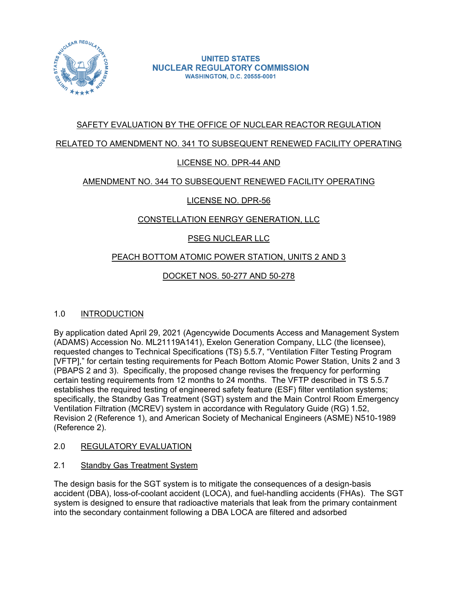

# SAFETY EVALUATION BY THE OFFICE OF NUCLEAR REACTOR REGULATION

## RELATED TO AMENDMENT NO. 341 TO SUBSEQUENT RENEWED FACILITY OPERATING

## LICENSE NO. DPR-44 AND

## AMENDMENT NO. 344 TO SUBSEQUENT RENEWED FACILITY OPERATING

# LICENSE NO. DPR-56

# CONSTELLATION EENRGY GENERATION, LLC

# PSEG NUCLEAR LLC

## PEACH BOTTOM ATOMIC POWER STATION, UNITS 2 AND 3

# DOCKET NOS. 50-277 AND 50-278

## 1.0 INTRODUCTION

By application dated April 29, 2021 (Agencywide Documents Access and Management System (ADAMS) Accession No. ML21119A141), Exelon Generation Company, LLC (the licensee), requested changes to Technical Specifications (TS) 5.5.7, "Ventilation Filter Testing Program [VFTP]," for certain testing requirements for Peach Bottom Atomic Power Station, Units 2 and 3 (PBAPS 2 and 3). Specifically, the proposed change revises the frequency for performing certain testing requirements from 12 months to 24 months. The VFTP described in TS 5.5.7 establishes the required testing of engineered safety feature (ESF) filter ventilation systems; specifically, the Standby Gas Treatment (SGT) system and the Main Control Room Emergency Ventilation Filtration (MCREV) system in accordance with Regulatory Guide (RG) 1.52, Revision 2 (Reference 1), and American Society of Mechanical Engineers (ASME) N510-1989 (Reference 2).

- 2.0 REGULATORY EVALUATION
- 2.1 Standby Gas Treatment System

The design basis for the SGT system is to mitigate the consequences of a design-basis accident (DBA), loss-of-coolant accident (LOCA), and fuel-handling accidents (FHAs). The SGT system is designed to ensure that radioactive materials that leak from the primary containment into the secondary containment following a DBA LOCA are filtered and adsorbed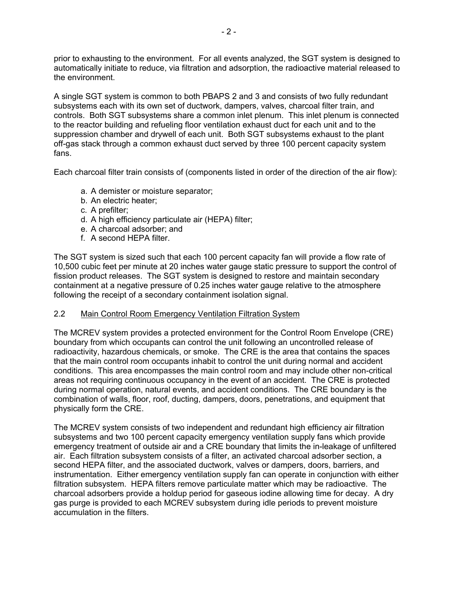prior to exhausting to the environment. For all events analyzed, the SGT system is designed to automatically initiate to reduce, via filtration and adsorption, the radioactive material released to the environment.

A single SGT system is common to both PBAPS 2 and 3 and consists of two fully redundant subsystems each with its own set of ductwork, dampers, valves, charcoal filter train, and controls. Both SGT subsystems share a common inlet plenum. This inlet plenum is connected to the reactor building and refueling floor ventilation exhaust duct for each unit and to the suppression chamber and drywell of each unit. Both SGT subsystems exhaust to the plant off-gas stack through a common exhaust duct served by three 100 percent capacity system fans.

Each charcoal filter train consists of (components listed in order of the direction of the air flow):

- a. A demister or moisture separator;
- b. An electric heater;
- c. A prefilter;
- d. A high efficiency particulate air (HEPA) filter;
- e. A charcoal adsorber; and
- f. A second HEPA filter.

The SGT system is sized such that each 100 percent capacity fan will provide a flow rate of 10,500 cubic feet per minute at 20 inches water gauge static pressure to support the control of fission product releases. The SGT system is designed to restore and maintain secondary containment at a negative pressure of 0.25 inches water gauge relative to the atmosphere following the receipt of a secondary containment isolation signal.

## 2.2 Main Control Room Emergency Ventilation Filtration System

The MCREV system provides a protected environment for the Control Room Envelope (CRE) boundary from which occupants can control the unit following an uncontrolled release of radioactivity, hazardous chemicals, or smoke. The CRE is the area that contains the spaces that the main control room occupants inhabit to control the unit during normal and accident conditions. This area encompasses the main control room and may include other non-critical areas not requiring continuous occupancy in the event of an accident. The CRE is protected during normal operation, natural events, and accident conditions. The CRE boundary is the combination of walls, floor, roof, ducting, dampers, doors, penetrations, and equipment that physically form the CRE.

The MCREV system consists of two independent and redundant high efficiency air filtration subsystems and two 100 percent capacity emergency ventilation supply fans which provide emergency treatment of outside air and a CRE boundary that limits the in-leakage of unfiltered air. Each filtration subsystem consists of a filter, an activated charcoal adsorber section, a second HEPA filter, and the associated ductwork, valves or dampers, doors, barriers, and instrumentation. Either emergency ventilation supply fan can operate in conjunction with either filtration subsystem. HEPA filters remove particulate matter which may be radioactive. The charcoal adsorbers provide a holdup period for gaseous iodine allowing time for decay. A dry gas purge is provided to each MCREV subsystem during idle periods to prevent moisture accumulation in the filters.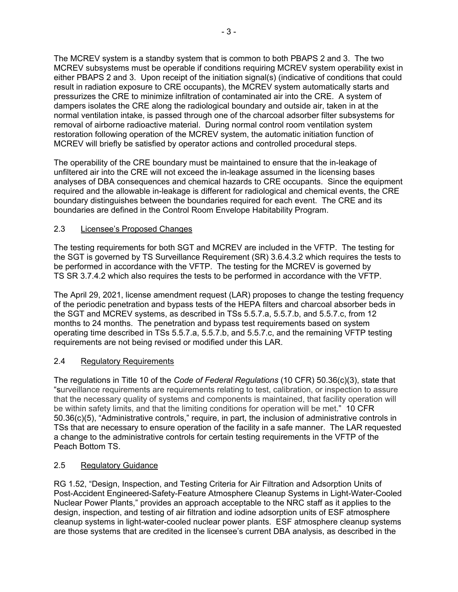The MCREV system is a standby system that is common to both PBAPS 2 and 3. The two MCREV subsystems must be operable if conditions requiring MCREV system operability exist in either PBAPS 2 and 3. Upon receipt of the initiation signal(s) (indicative of conditions that could result in radiation exposure to CRE occupants), the MCREV system automatically starts and pressurizes the CRE to minimize infiltration of contaminated air into the CRE. A system of dampers isolates the CRE along the radiological boundary and outside air, taken in at the normal ventilation intake, is passed through one of the charcoal adsorber filter subsystems for removal of airborne radioactive material. During normal control room ventilation system restoration following operation of the MCREV system, the automatic initiation function of MCREV will briefly be satisfied by operator actions and controlled procedural steps.

The operability of the CRE boundary must be maintained to ensure that the in-leakage of unfiltered air into the CRE will not exceed the in-leakage assumed in the licensing bases analyses of DBA consequences and chemical hazards to CRE occupants. Since the equipment required and the allowable in-leakage is different for radiological and chemical events, the CRE boundary distinguishes between the boundaries required for each event. The CRE and its boundaries are defined in the Control Room Envelope Habitability Program.

## 2.3 Licensee's Proposed Changes

The testing requirements for both SGT and MCREV are included in the VFTP. The testing for the SGT is governed by TS Surveillance Requirement (SR) 3.6.4.3.2 which requires the tests to be performed in accordance with the VFTP. The testing for the MCREV is governed by TS SR 3.7.4.2 which also requires the tests to be performed in accordance with the VFTP.

The April 29, 2021, license amendment request (LAR) proposes to change the testing frequency of the periodic penetration and bypass tests of the HEPA filters and charcoal absorber beds in the SGT and MCREV systems, as described in TSs 5.5.7.a, 5.5.7.b, and 5.5.7.c, from 12 months to 24 months. The penetration and bypass test requirements based on system operating time described in TSs 5.5.7.a, 5.5.7.b, and 5.5.7.c, and the remaining VFTP testing requirements are not being revised or modified under this LAR.

## 2.4 Regulatory Requirements

The regulations in Title 10 of the *Code of Federal Regulations* (10 CFR) 50.36(c)(3), state that "surveillance requirements are requirements relating to test, calibration, or inspection to assure that the necessary quality of systems and components is maintained, that facility operation will be within safety limits, and that the limiting conditions for operation will be met." 10 CFR 50.36(c)(5), "Administrative controls," require, in part, the inclusion of administrative controls in TSs that are necessary to ensure operation of the facility in a safe manner. The LAR requested a change to the administrative controls for certain testing requirements in the VFTP of the Peach Bottom TS.

## 2.5 Regulatory Guidance

RG 1.52, "Design, Inspection, and Testing Criteria for Air Filtration and Adsorption Units of Post-Accident Engineered-Safety-Feature Atmosphere Cleanup Systems in Light-Water-Cooled Nuclear Power Plants," provides an approach acceptable to the NRC staff as it applies to the design, inspection, and testing of air filtration and iodine adsorption units of ESF atmosphere cleanup systems in light-water-cooled nuclear power plants. ESF atmosphere cleanup systems are those systems that are credited in the licensee's current DBA analysis, as described in the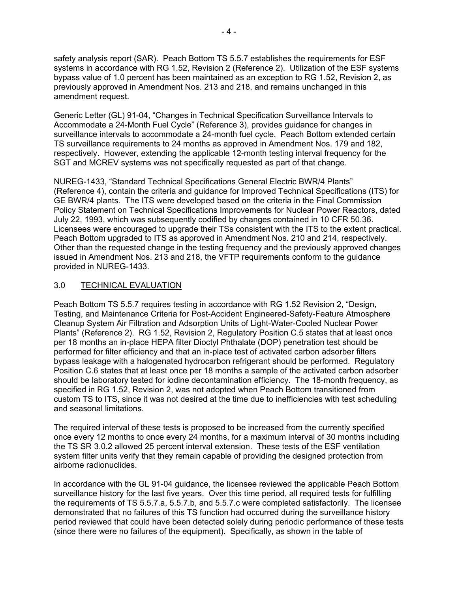safety analysis report (SAR). Peach Bottom TS 5.5.7 establishes the requirements for ESF systems in accordance with RG 1.52, Revision 2 (Reference 2). Utilization of the ESF systems bypass value of 1.0 percent has been maintained as an exception to RG 1.52, Revision 2, as previously approved in Amendment Nos. 213 and 218, and remains unchanged in this amendment request.

Generic Letter (GL) 91-04, "Changes in Technical Specification Surveillance Intervals to Accommodate a 24-Month Fuel Cycle" (Reference 3), provides guidance for changes in surveillance intervals to accommodate a 24-month fuel cycle. Peach Bottom extended certain TS surveillance requirements to 24 months as approved in Amendment Nos. 179 and 182, respectively. However, extending the applicable 12-month testing interval frequency for the SGT and MCREV systems was not specifically requested as part of that change.

NUREG-1433, "Standard Technical Specifications General Electric BWR/4 Plants" (Reference 4), contain the criteria and guidance for Improved Technical Specifications (ITS) for GE BWR/4 plants. The ITS were developed based on the criteria in the Final Commission Policy Statement on Technical Specifications Improvements for Nuclear Power Reactors, dated July 22, 1993, which was subsequently codified by changes contained in 10 CFR 50.36. Licensees were encouraged to upgrade their TSs consistent with the ITS to the extent practical. Peach Bottom upgraded to ITS as approved in Amendment Nos. 210 and 214, respectively. Other than the requested change in the testing frequency and the previously approved changes issued in Amendment Nos. 213 and 218, the VFTP requirements conform to the guidance provided in NUREG-1433.

## 3.0 TECHNICAL EVALUATION

Peach Bottom TS 5.5.7 requires testing in accordance with RG 1.52 Revision 2, "Design, Testing, and Maintenance Criteria for Post-Accident Engineered-Safety-Feature Atmosphere Cleanup System Air Filtration and Adsorption Units of Light-Water-Cooled Nuclear Power Plants" (Reference 2). RG 1.52, Revision 2, Regulatory Position C.5 states that at least once per 18 months an in-place HEPA filter Dioctyl Phthalate (DOP) penetration test should be performed for filter efficiency and that an in-place test of activated carbon adsorber filters bypass leakage with a halogenated hydrocarbon refrigerant should be performed. Regulatory Position C.6 states that at least once per 18 months a sample of the activated carbon adsorber should be laboratory tested for iodine decontamination efficiency. The 18-month frequency, as specified in RG 1.52, Revision 2, was not adopted when Peach Bottom transitioned from custom TS to ITS, since it was not desired at the time due to inefficiencies with test scheduling and seasonal limitations.

The required interval of these tests is proposed to be increased from the currently specified once every 12 months to once every 24 months, for a maximum interval of 30 months including the TS SR 3.0.2 allowed 25 percent interval extension. These tests of the ESF ventilation system filter units verify that they remain capable of providing the designed protection from airborne radionuclides.

In accordance with the GL 91-04 guidance, the licensee reviewed the applicable Peach Bottom surveillance history for the last five years. Over this time period, all required tests for fulfilling the requirements of TS 5.5.7.a, 5.5.7.b, and 5.5.7.c were completed satisfactorily. The licensee demonstrated that no failures of this TS function had occurred during the surveillance history period reviewed that could have been detected solely during periodic performance of these tests (since there were no failures of the equipment). Specifically, as shown in the table of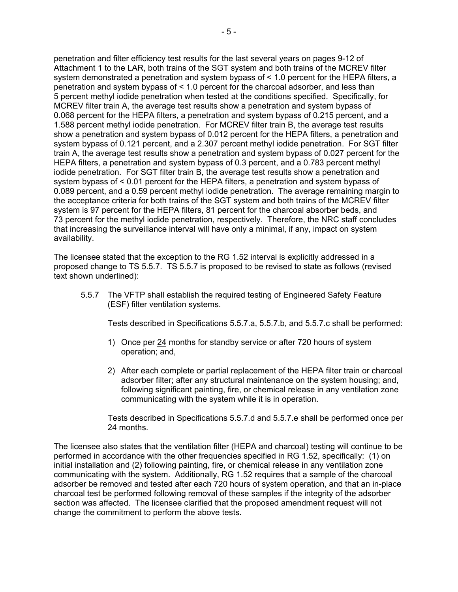penetration and filter efficiency test results for the last several years on pages 9-12 of Attachment 1 to the LAR, both trains of the SGT system and both trains of the MCREV filter system demonstrated a penetration and system bypass of < 1.0 percent for the HEPA filters, a penetration and system bypass of < 1.0 percent for the charcoal adsorber, and less than 5 percent methyl iodide penetration when tested at the conditions specified. Specifically, for MCREV filter train A, the average test results show a penetration and system bypass of 0.068 percent for the HEPA filters, a penetration and system bypass of 0.215 percent, and a 1.588 percent methyl iodide penetration. For MCREV filter train B, the average test results show a penetration and system bypass of 0.012 percent for the HEPA filters, a penetration and system bypass of 0.121 percent, and a 2.307 percent methyl iodide penetration. For SGT filter train A, the average test results show a penetration and system bypass of 0.027 percent for the HEPA filters, a penetration and system bypass of 0.3 percent, and a 0.783 percent methyl iodide penetration. For SGT filter train B, the average test results show a penetration and system bypass of < 0.01 percent for the HEPA filters, a penetration and system bypass of 0.089 percent, and a 0.59 percent methyl iodide penetration. The average remaining margin to the acceptance criteria for both trains of the SGT system and both trains of the MCREV filter system is 97 percent for the HEPA filters, 81 percent for the charcoal absorber beds, and 73 percent for the methyl iodide penetration, respectively. Therefore, the NRC staff concludes that increasing the surveillance interval will have only a minimal, if any, impact on system availability.

The licensee stated that the exception to the RG 1.52 interval is explicitly addressed in a proposed change to TS 5.5.7. TS 5.5.7 is proposed to be revised to state as follows (revised text shown underlined):

5.5.7 The VFTP shall establish the required testing of Engineered Safety Feature (ESF) filter ventilation systems.

Tests described in Specifications 5.5.7.a, 5.5.7.b, and 5.5.7.c shall be performed:

- 1) Once per 24 months for standby service or after 720 hours of system operation; and,
- 2) After each complete or partial replacement of the HEPA filter train or charcoal adsorber filter; after any structural maintenance on the system housing; and, following significant painting, fire, or chemical release in any ventilation zone communicating with the system while it is in operation.

Tests described in Specifications 5.5.7.d and 5.5.7.e shall be performed once per 24 months.

The licensee also states that the ventilation filter (HEPA and charcoal) testing will continue to be performed in accordance with the other frequencies specified in RG 1.52, specifically: (1) on initial installation and (2) following painting, fire, or chemical release in any ventilation zone communicating with the system. Additionally, RG 1.52 requires that a sample of the charcoal adsorber be removed and tested after each 720 hours of system operation, and that an in-place charcoal test be performed following removal of these samples if the integrity of the adsorber section was affected. The licensee clarified that the proposed amendment request will not change the commitment to perform the above tests.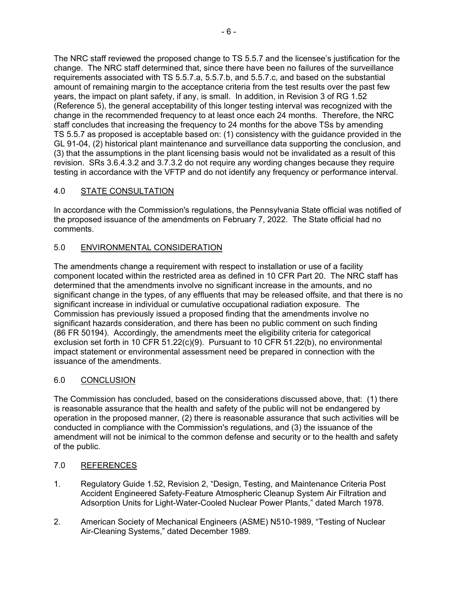The NRC staff reviewed the proposed change to TS 5.5.7 and the licensee's justification for the change. The NRC staff determined that, since there have been no failures of the surveillance requirements associated with TS 5.5.7.a, 5.5.7.b, and 5.5.7.c, and based on the substantial amount of remaining margin to the acceptance criteria from the test results over the past few years, the impact on plant safety, if any, is small. In addition, in Revision 3 of RG 1.52 (Reference 5), the general acceptability of this longer testing interval was recognized with the change in the recommended frequency to at least once each 24 months. Therefore, the NRC staff concludes that increasing the frequency to 24 months for the above TSs by amending TS 5.5.7 as proposed is acceptable based on: (1) consistency with the guidance provided in the GL 91-04, (2) historical plant maintenance and surveillance data supporting the conclusion, and (3) that the assumptions in the plant licensing basis would not be invalidated as a result of this revision. SRs 3.6.4.3.2 and 3.7.3.2 do not require any wording changes because they require testing in accordance with the VFTP and do not identify any frequency or performance interval.

# 4.0 STATE CONSULTATION

In accordance with the Commission's regulations, the Pennsylvania State official was notified of the proposed issuance of the amendments on February 7, 2022. The State official had no comments.

## 5.0 ENVIRONMENTAL CONSIDERATION

The amendments change a requirement with respect to installation or use of a facility component located within the restricted area as defined in 10 CFR Part 20. The NRC staff has determined that the amendments involve no significant increase in the amounts, and no significant change in the types, of any effluents that may be released offsite, and that there is no significant increase in individual or cumulative occupational radiation exposure. The Commission has previously issued a proposed finding that the amendments involve no significant hazards consideration, and there has been no public comment on such finding (86 FR 50194). Accordingly, the amendments meet the eligibility criteria for categorical exclusion set forth in 10 CFR 51.22(c)(9). Pursuant to 10 CFR 51.22(b), no environmental impact statement or environmental assessment need be prepared in connection with the issuance of the amendments.

## 6.0 CONCLUSION

The Commission has concluded, based on the considerations discussed above, that: (1) there is reasonable assurance that the health and safety of the public will not be endangered by operation in the proposed manner, (2) there is reasonable assurance that such activities will be conducted in compliance with the Commission's regulations, and (3) the issuance of the amendment will not be inimical to the common defense and security or to the health and safety of the public.

## 7.0 REFERENCES

- 1. Regulatory Guide 1.52, Revision 2, "Design, Testing, and Maintenance Criteria Post Accident Engineered Safety-Feature Atmospheric Cleanup System Air Filtration and Adsorption Units for Light-Water-Cooled Nuclear Power Plants," dated March 1978.
- 2. American Society of Mechanical Engineers (ASME) N510-1989, "Testing of Nuclear Air-Cleaning Systems," dated December 1989.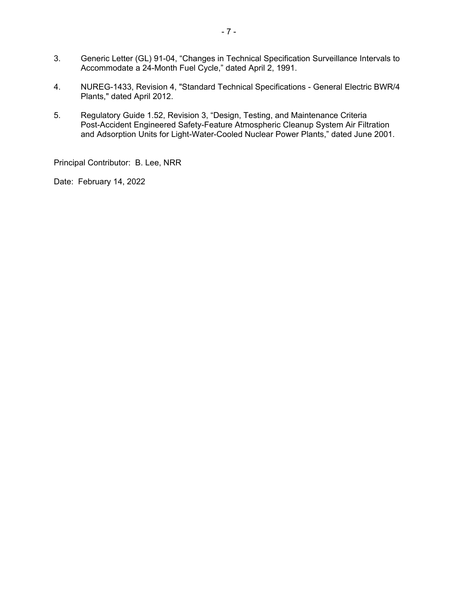- 3. Generic Letter (GL) 91-04, "Changes in Technical Specification Surveillance Intervals to Accommodate a 24-Month Fuel Cycle," dated April 2, 1991.
- 4. NUREG-1433, Revision 4, "Standard Technical Specifications General Electric BWR/4 Plants," dated April 2012.
- 5. Regulatory Guide 1.52, Revision 3, "Design, Testing, and Maintenance Criteria Post-Accident Engineered Safety-Feature Atmospheric Cleanup System Air Filtration and Adsorption Units for Light-Water-Cooled Nuclear Power Plants," dated June 2001.

Principal Contributor: B. Lee, NRR

Date: February 14, 2022